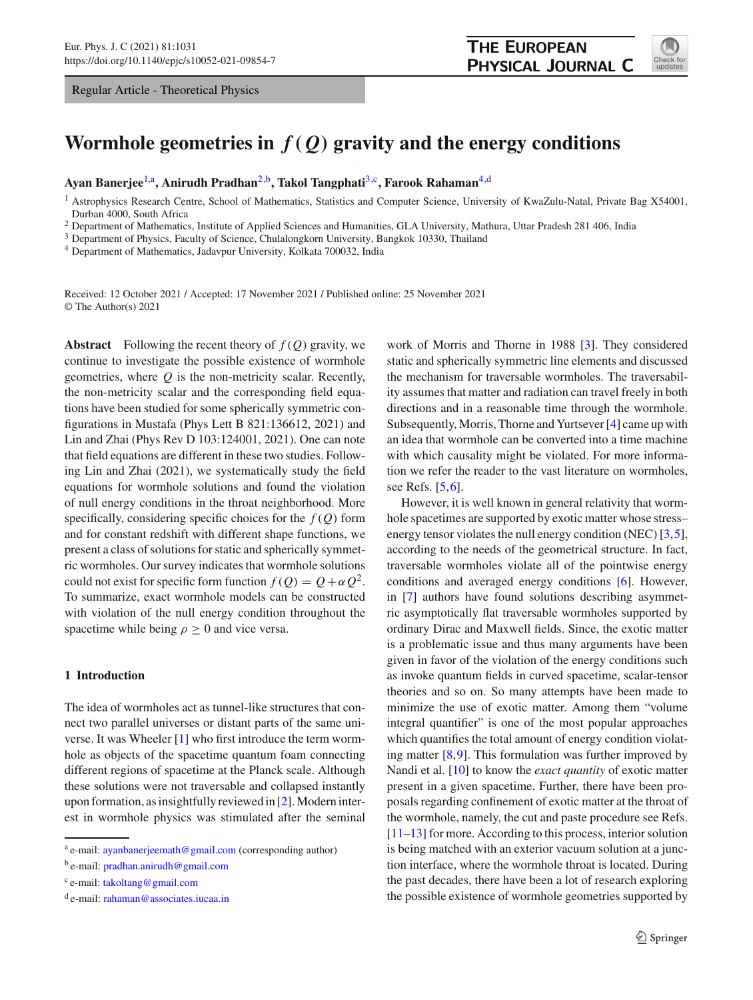Regular Article - Theoretical Physics

<span id="page-0-1"></span>

# Wormhole geometries in  $f(Q)$  gravity and the energy conditions

**Ayan Banerjee**[1,](#page-0-0)a**, Anirudh Pradhan**[2,](#page-0-0)b**, Takol Tangphati**[3,](#page-0-1)c**, Farook Rahaman**[4,](#page-0-2)d

<span id="page-0-0"></span><sup>1</sup> Astrophysics Research Centre, School of Mathematics, Statistics and Computer Science, University of KwaZulu-Natal, Private Bag X54001, Durban 4000, South Africa

<sup>2</sup> Department of Mathematics, Institute of Applied Sciences and Humanities, GLA University, Mathura, Uttar Pradesh 281 406, India

<sup>3</sup> Department of Physics, Faculty of Science, Chulalongkorn University, Bangkok 10330, Thailand

<sup>4</sup> Department of Mathematics, Jadavpur University, Kolkata 700032, India

Received: 12 October 2021 / Accepted: 17 November 2021 / Published online: 25 November 2021 © The Author(s) 2021

**Abstract** Following the recent theory of *f* (*Q*) gravity, we continue to investigate the possible existence of wormhole geometries, where *Q* is the non-metricity scalar. Recently, the non-metricity scalar and the corresponding field equations have been studied for some spherically symmetric configurations in Mustafa (Phys Lett B 821:136612, 2021) and Lin and Zhai (Phys Rev D 103:124001, 2021). One can note that field equations are different in these two studies. Following Lin and Zhai (2021), we systematically study the field equations for wormhole solutions and found the violation of null energy conditions in the throat neighborhood. More specifically, considering specific choices for the *f* (*Q*) form and for constant redshift with different shape functions, we present a class of solutions for static and spherically symmetric wormholes. Our survey indicates that wormhole solutions could not exist for specific form function  $f(Q) = Q + \alpha Q^2$ . To summarize, exact wormhole models can be constructed with violation of the null energy condition throughout the spacetime while being  $\rho \geq 0$  and vice versa.

### **1 Introduction**

The idea of wormholes act as tunnel-like structures that connect two parallel universes or distant parts of the same universe. It was Wheeler [\[1](#page-5-0)] who first introduce the term wormhole as objects of the spacetime quantum foam connecting different regions of spacetime at the Planck scale. Although these solutions were not traversable and collapsed instantly upon formation, as insightfully reviewed in [\[2\]](#page-5-1). Modern interest in wormhole physics was stimulated after the seminal <span id="page-0-2"></span>work of Morris and Thorne in 1988 [\[3](#page-5-2)]. They considered static and spherically symmetric line elements and discussed the mechanism for traversable wormholes. The traversability assumes that matter and radiation can travel freely in both directions and in a reasonable time through the wormhole. Subsequently, Morris, Thorne and Yurtsever [\[4\]](#page-5-3) came up with an idea that wormhole can be converted into a time machine with which causality might be violated. For more information we refer the reader to the vast literature on wormholes, see Refs. [\[5](#page-6-0)[,6](#page-6-1)].

However, it is well known in general relativity that wormhole spacetimes are supported by exotic matter whose stress– energy tensor violates the null energy condition (NEC) [\[3](#page-5-2)[,5](#page-6-0)], according to the needs of the geometrical structure. In fact, traversable wormholes violate all of the pointwise energy conditions and averaged energy conditions [\[6](#page-6-1)]. However, in [\[7\]](#page-6-2) authors have found solutions describing asymmetric asymptotically flat traversable wormholes supported by ordinary Dirac and Maxwell fields. Since, the exotic matter is a problematic issue and thus many arguments have been given in favor of the violation of the energy conditions such as invoke quantum fields in curved spacetime, scalar-tensor theories and so on. So many attempts have been made to minimize the use of exotic matter. Among them "volume integral quantifier" is one of the most popular approaches which quantifies the total amount of energy condition violating matter  $[8,9]$  $[8,9]$  $[8,9]$ . This formulation was further improved by Nandi et al. [\[10](#page-6-5)] to know the *exact quantity* of exotic matter present in a given spacetime. Further, there have been proposals regarding confinement of exotic matter at the throat of the wormhole, namely, the cut and paste procedure see Refs. [\[11](#page-6-6)[–13](#page-6-7)] for more. According to this process, interior solution is being matched with an exterior vacuum solution at a junction interface, where the wormhole throat is located. During the past decades, there have been a lot of research exploring the possible existence of wormhole geometries supported by

<sup>a</sup> e-mail: [ayanbanerjeemath@gmail.com](mailto:ayanbanerjeemath@gmail.com) (corresponding author)

<sup>b</sup> e-mail: [pradhan.anirudh@gmail.com](mailto:pradhan.anirudh@gmail.com)

<sup>c</sup> e-mail: [takoltang@gmail.com](mailto:takoltang@gmail.com)

<sup>d</sup> e-mail: [rahaman@associates.iucaa.in](mailto:rahaman@associates.iucaa.in)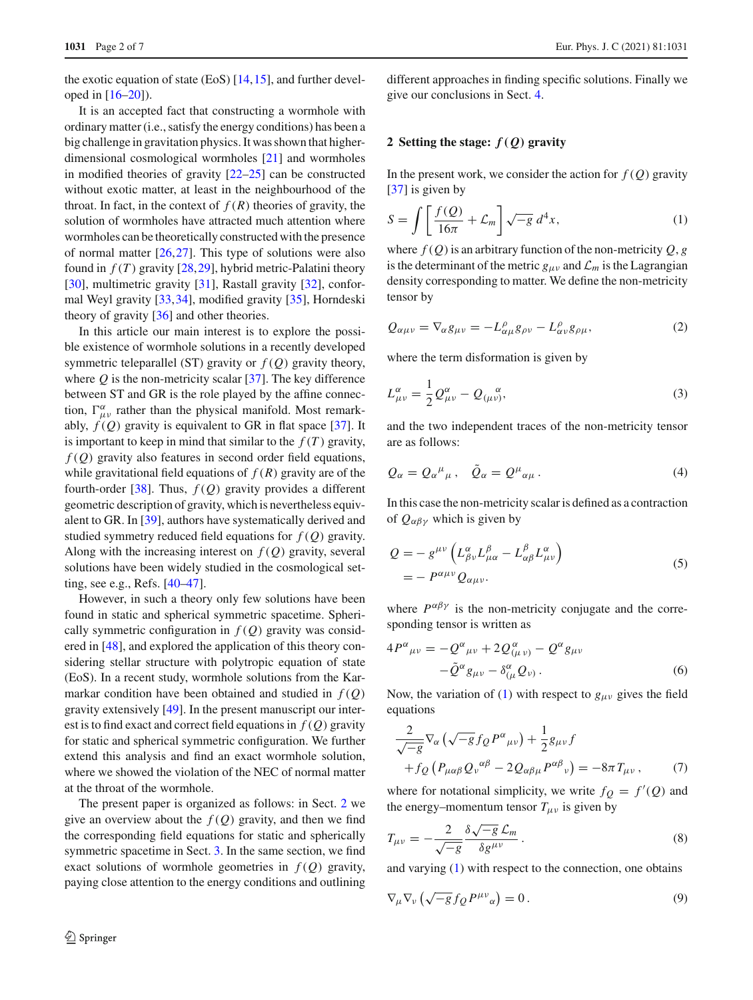the exotic equation of state (EoS)  $[14, 15]$  $[14, 15]$  $[14, 15]$ , and further developed in [\[16](#page-6-10)[–20](#page-6-11)]).

It is an accepted fact that constructing a wormhole with ordinary matter (i.e., satisfy the energy conditions) has been a big challenge in gravitation physics. It was shown that higherdimensional cosmological wormholes [\[21](#page-6-12)] and wormholes in modified theories of gravity [\[22](#page-6-13)[–25\]](#page-6-14) can be constructed without exotic matter, at least in the neighbourhood of the throat. In fact, in the context of  $f(R)$  theories of gravity, the solution of wormholes have attracted much attention where wormholes can be theoretically constructed with the presence of normal matter [\[26](#page-6-15)[,27](#page-6-16)]. This type of solutions were also found in  $f(T)$  gravity  $[28, 29]$  $[28, 29]$  $[28, 29]$ , hybrid metric-Palatini theory [\[30](#page-6-19)], multimetric gravity [\[31](#page-6-20)], Rastall gravity [\[32](#page-6-21)], conformal Weyl gravity [\[33,](#page-6-22)[34\]](#page-6-23), modified gravity [\[35](#page-6-24)], Horndeski theory of gravity [\[36\]](#page-6-25) and other theories.

In this article our main interest is to explore the possible existence of wormhole solutions in a recently developed symmetric teleparallel (ST) gravity or  $f(Q)$  gravity theory, where  $Q$  is the non-metricity scalar [\[37\]](#page-6-26). The key difference between ST and GR is the role played by the affine connection,  $\Gamma^{\alpha}_{\mu\nu}$  rather than the physical manifold. Most remarkably,  $f(Q)$  gravity is equivalent to GR in flat space [\[37](#page-6-26)]. It is important to keep in mind that similar to the  $f(T)$  gravity, *f* (*Q*) gravity also features in second order field equations, while gravitational field equations of  $f(R)$  gravity are of the fourth-order [\[38](#page-6-27)]. Thus, *f* (*Q*) gravity provides a different geometric description of gravity, which is nevertheless equivalent to GR. In [\[39](#page-6-28)], authors have systematically derived and studied symmetry reduced field equations for *f* (*Q*) gravity. Along with the increasing interest on  $f(Q)$  gravity, several solutions have been widely studied in the cosmological setting, see e.g., Refs. [\[40](#page-6-29)[–47\]](#page-6-30).

However, in such a theory only few solutions have been found in static and spherical symmetric spacetime. Spherically symmetric configuration in  $f(Q)$  gravity was considered in [\[48\]](#page-6-31), and explored the application of this theory considering stellar structure with polytropic equation of state (EoS). In a recent study, wormhole solutions from the Karmarkar condition have been obtained and studied in  $f(Q)$ gravity extensively [\[49\]](#page-6-32). In the present manuscript our interest is to find exact and correct field equations in *f* (*Q*) gravity for static and spherical symmetric configuration. We further extend this analysis and find an exact wormhole solution, where we showed the violation of the NEC of normal matter at the throat of the wormhole.

The present paper is organized as follows: in Sect. [2](#page-1-0) we give an overview about the  $f(Q)$  gravity, and then we find the corresponding field equations for static and spherically symmetric spacetime in Sect. [3.](#page-2-0) In the same section, we find exact solutions of wormhole geometries in  $f(Q)$  gravity, paying close attention to the energy conditions and outlining different approaches in finding specific solutions. Finally we give our conclusions in Sect. [4.](#page-5-4)

### <span id="page-1-0"></span>**2 Setting the stage:** *f( Q)* **gravity**

In the present work, we consider the action for  $f(Q)$  gravity [\[37](#page-6-26)] is given by

<span id="page-1-1"></span>
$$
S = \int \left[ \frac{f(Q)}{16\pi} + \mathcal{L}_m \right] \sqrt{-g} \, d^4x,\tag{1}
$$

where  $f(Q)$  is an arbitrary function of the non-metricity  $Q$ ,  $g$ is the determinant of the metric  $g_{\mu\nu}$  and  $\mathcal{L}_m$  is the Lagrangian density corresponding to matter. We define the non-metricity tensor by

$$
Q_{\alpha\mu\nu} = \nabla_{\alpha} g_{\mu\nu} = -L^{\rho}_{\alpha\mu} g_{\rho\nu} - L^{\rho}_{\alpha\nu} g_{\rho\mu}, \qquad (2)
$$

where the term disformation is given by

$$
L^{\alpha}_{\mu\nu} = \frac{1}{2} Q^{\alpha}_{\mu\nu} - Q^{\alpha}_{(\mu\nu)},
$$
\n(3)

and the two independent traces of the non-metricity tensor are as follows:

$$
Q_{\alpha} = Q_{\alpha}{}^{\mu}{}_{\mu} , \quad \tilde{Q}_{\alpha} = Q^{\mu}{}_{\alpha\mu} . \tag{4}
$$

In this case the non-metricity scalar is defined as a contraction of  $Q_{\alpha\beta\gamma}$  which is given by

$$
Q = -g^{\mu\nu} \left( L^{\alpha}_{\beta\nu} L^{\beta}_{\mu\alpha} - L^{\beta}_{\alpha\beta} L^{\alpha}_{\mu\nu} \right)
$$
  
= 
$$
- P^{\alpha\mu\nu} Q_{\alpha\mu\nu}.
$$
 (5)

where  $P^{\alpha\beta\gamma}$  is the non-metricity conjugate and the corresponding tensor is written as

$$
4P^{\alpha}{}_{\mu\nu} = -Q^{\alpha}{}_{\mu\nu} + 2Q^{\alpha}{}_{(\mu\nu)} - Q^{\alpha}g_{\mu\nu} - \tilde{Q}^{\alpha}g_{\mu\nu} - \delta^{\alpha}{}_{(\mu}Q_{\nu)}.
$$
 (6)

Now, the variation of [\(1\)](#page-1-1) with respect to  $g_{\mu\nu}$  gives the field equations

<span id="page-1-2"></span>
$$
\frac{2}{\sqrt{-g}} \nabla_{\alpha} \left( \sqrt{-g} f_Q P^{\alpha}{}_{\mu\nu} \right) + \frac{1}{2} g_{\mu\nu} f \n+ f_Q \left( P_{\mu\alpha\beta} Q_{\nu}{}^{\alpha\beta} - 2 Q_{\alpha\beta\mu} P^{\alpha\beta}{}_{\nu} \right) = -8\pi T_{\mu\nu} ,
$$
\n(7)

where for notational simplicity, we write  $f_Q = f'(Q)$  and the energy–momentum tensor  $T_{\mu\nu}$  is given by

$$
T_{\mu\nu} = -\frac{2}{\sqrt{-g}} \frac{\delta \sqrt{-g} \mathcal{L}_m}{\delta g^{\mu\nu}}.
$$
 (8)

and varying [\(1\)](#page-1-1) with respect to the connection, one obtains

$$
\nabla_{\mu}\nabla_{\nu}\left(\sqrt{-g}f_{Q}P^{\mu\nu}_{\alpha}\right) = 0.
$$
\n(9)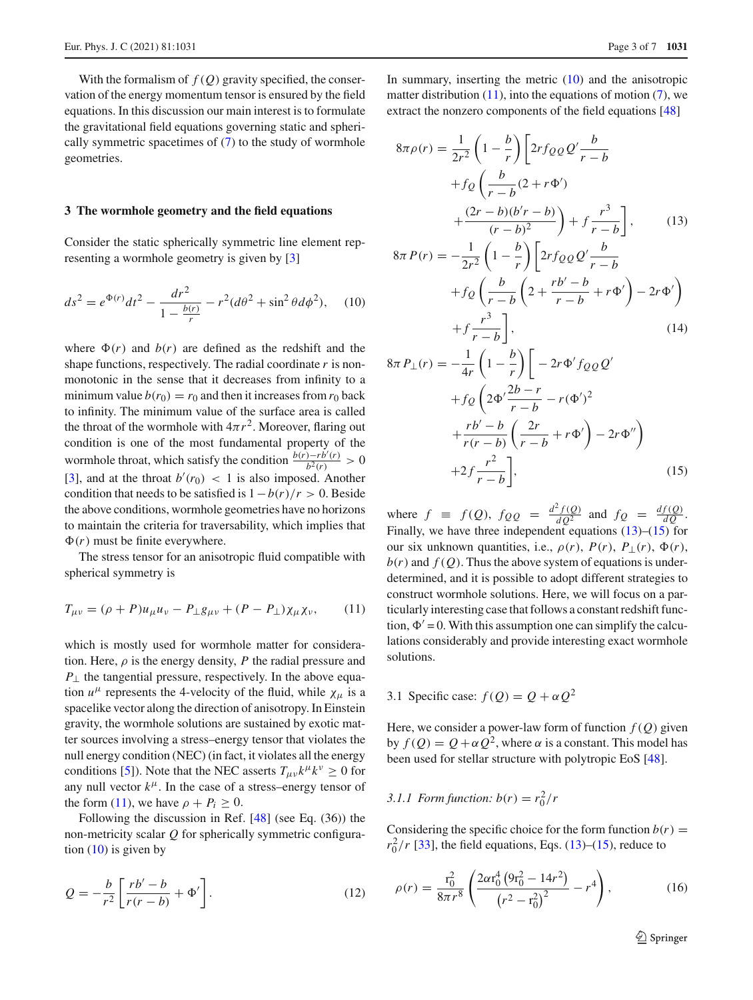With the formalism of  $f(Q)$  gravity specified, the conservation of the energy momentum tensor is ensured by the field equations. In this discussion our main interest is to formulate the gravitational field equations governing static and spherically symmetric spacetimes of  $(7)$  to the study of wormhole geometries.

#### <span id="page-2-0"></span>**3 The wormhole geometry and the field equations**

Consider the static spherically symmetric line element representing a wormhole geometry is given by [\[3\]](#page-5-2)

$$
ds^{2} = e^{\Phi(r)}dt^{2} - \frac{dr^{2}}{1 - \frac{b(r)}{r}} - r^{2}(d\theta^{2} + \sin^{2}\theta d\phi^{2}), \quad (10)
$$

where  $\Phi(r)$  and  $b(r)$  are defined as the redshift and the shape functions, respectively. The radial coordinate *r* is nonmonotonic in the sense that it decreases from infinity to a minimum value  $b(r_0) = r_0$  and then it increases from  $r_0$  back to infinity. The minimum value of the surface area is called the throat of the wormhole with  $4\pi r^2$ . Moreover, flaring out condition is one of the most fundamental property of the wormhole throat, which satisfy the condition  $\frac{b(r)-rb'(r)}{b^2(r)} > 0$ [\[3](#page-5-2)], and at the throat  $b'(r_0) < 1$  is also imposed. Another condition that needs to be satisfied is  $1-b(r)/r > 0$ . Beside the above conditions, wormhole geometries have no horizons to maintain the criteria for traversability, which implies that  $\Phi(r)$  must be finite everywhere.

<span id="page-2-1"></span>The stress tensor for an anisotropic fluid compatible with spherical symmetry is

$$
T_{\mu\nu} = (\rho + P)u_{\mu}u_{\nu} - P_{\perp}g_{\mu\nu} + (P - P_{\perp})\chi_{\mu}\chi_{\nu},\qquad(11)
$$

which is mostly used for wormhole matter for consideration. Here,  $\rho$  is the energy density,  $P$  the radial pressure and  $P_{\perp}$  the tangential pressure, respectively. In the above equation  $u^{\mu}$  represents the 4-velocity of the fluid, while  $\chi_{\mu}$  is a spacelike vector along the direction of anisotropy. In Einstein gravity, the wormhole solutions are sustained by exotic matter sources involving a stress–energy tensor that violates the null energy condition (NEC) (in fact, it violates all the energy conditions [\[5](#page-6-0)]). Note that the NEC asserts  $T_{\mu\nu}k^{\mu}k^{\nu} \ge 0$  for any null vector  $k^{\mu}$ . In the case of a stress–energy tensor of the form [\(11\)](#page-2-1), we have  $\rho + P_i > 0$ .

Following the discussion in Ref. [\[48\]](#page-6-31) (see Eq. (36)) the non-metricity scalar *Q* for spherically symmetric configuration  $(10)$  is given by

$$
Q = -\frac{b}{r^2} \left[ \frac{rb' - b}{r(r - b)} + \Phi' \right].
$$
 (12)

In summary, inserting the metric  $(10)$  and the anisotropic matter distribution  $(11)$ , into the equations of motion  $(7)$ , we extract the nonzero components of the field equations [\[48](#page-6-31)]

<span id="page-2-3"></span>
$$
8\pi\rho(r) = \frac{1}{2r^2} \left(1 - \frac{b}{r}\right) \left[2rf_{QQ}Q'\frac{b}{r-b} + f_Q\left(\frac{b}{r-b}(2+r\Phi')\right) + \frac{(2r-b)(b'r-b)}{(r-b)^2}\right) + f\frac{r^3}{r-b}, \qquad (13)
$$

<span id="page-2-2"></span>
$$
8\pi P(r) = -\frac{1}{2r^2} \left( 1 - \frac{b}{r} \right) \left[ 2r f_{QQ} Q' \frac{b}{r - b} + f_Q \left( \frac{b}{r - b} \left( 2 + \frac{rb' - b}{r - b} + r \Phi' \right) - 2r \Phi' \right) + f \frac{r^3}{r - b} \right],
$$
\n(14)

$$
8\pi P_{\perp}(r) = -\frac{1}{4r} \left( 1 - \frac{b}{r} \right) \left[ -2r \Phi' f_{QQ} Q' + f_Q \left( 2\Phi' \frac{2b-r}{r-b} - r(\Phi')^2 + \frac{rb' - b}{r(r-b)} \left( \frac{2r}{r-b} + r\Phi' \right) - 2r\Phi'' \right) + 2f \frac{r^2}{r-b} \right],
$$
\n(15)

where  $f \equiv f(Q)$ ,  $f_{QQ} = \frac{d^2 f(Q)}{dQ^2}$  and  $f_Q = \frac{df(Q)}{dQ}$ . Finally, we have three independent equations  $(13)$ – $(15)$  for our six unknown quantities, i.e.,  $\rho(r)$ ,  $P(r)$ ,  $P_{\perp}(r)$ ,  $\Phi(r)$ ,  $b(r)$  and  $f(Q)$ . Thus the above system of equations is underdetermined, and it is possible to adopt different strategies to construct wormhole solutions. Here, we will focus on a particularly interesting case that follows a constant redshift function,  $\Phi' = 0$ . With this assumption one can simplify the calculations considerably and provide interesting exact wormhole solutions.

## 3.1 Specific case:  $f(Q) = Q + \alpha Q^2$

Here, we consider a power-law form of function  $f(Q)$  given by *<sup>f</sup>* (*Q*) <sup>=</sup> *<sup>Q</sup>* <sup>+</sup>α*Q*2, where <sup>α</sup> is a constant. This model has been used for stellar structure with polytropic EoS [\[48\]](#page-6-31).

## *3.1.1 Form function:*  $b(r) = r_0^2/r$

Considering the specific choice for the form function  $b(r)$  =  $r_0^2/r$  [\[33\]](#page-6-22), the field equations, Eqs. [\(13\)](#page-2-3)–[\(15\)](#page-2-3), reduce to

$$
\rho(r) = \frac{r_0^2}{8\pi r^8} \left( \frac{2\alpha r_0^4 \left( 9r_0^2 - 14r^2 \right)}{\left(r^2 - r_0^2\right)^2} - r^4 \right),\tag{16}
$$

<sup>2</sup> Springer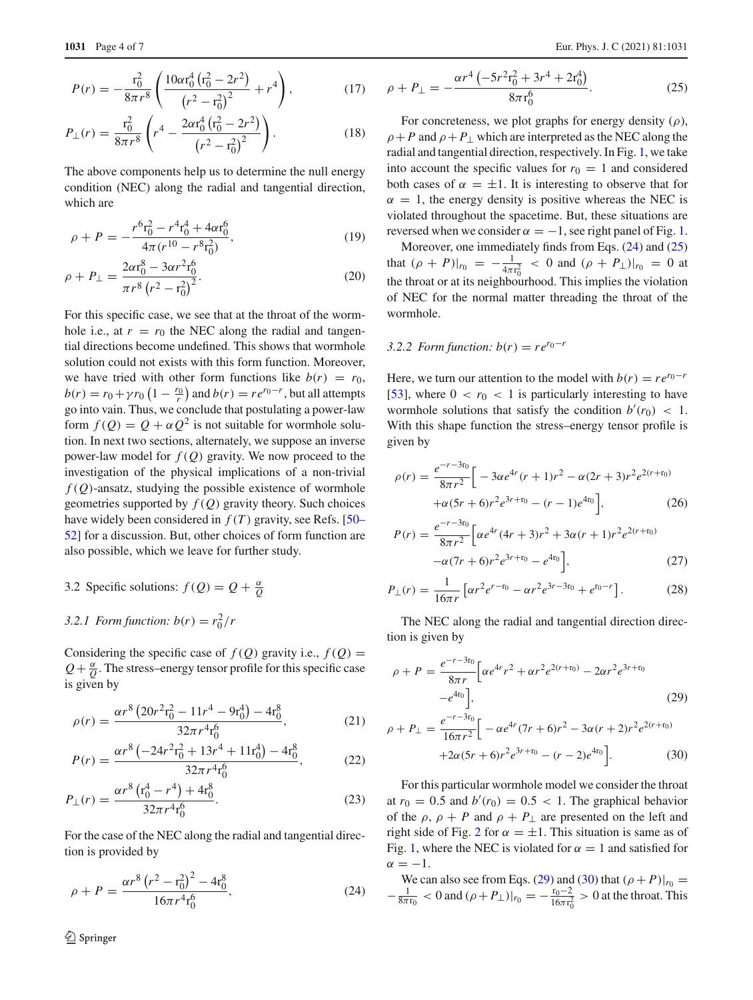$$
P(r) = -\frac{r_0^2}{8\pi r^8} \left( \frac{10\alpha r_0^4 (r_0^2 - 2r^2)}{(r^2 - r_0^2)^2} + r^4 \right),\tag{17}
$$

$$
P_{\perp}(r) = \frac{\mathbf{r}_0^2}{8\pi r^8} \left( r^4 - \frac{2\alpha \mathbf{r}_0^4 \left( \mathbf{r}_0^2 - 2r^2 \right)}{\left( r^2 - \mathbf{r}_0^2 \right)^2} \right). \tag{18}
$$

The above components help us to determine the null energy condition (NEC) along the radial and tangential direction, which are

$$
\rho + P = -\frac{r^6 \mathbf{r}_0^2 - r^4 \mathbf{r}_0^4 + 4\alpha \mathbf{r}_0^6}{4\pi (r^{10} - r^8 \mathbf{r}_0^2)},\tag{19}
$$

$$
\rho + P_{\perp} = \frac{2\alpha r_0^8 - 3\alpha r^2 r_0^6}{\pi r^8 (r^2 - r_0^2)^2}.
$$
\n(20)

For this specific case, we see that at the throat of the wormhole i.e., at  $r = r_0$  the NEC along the radial and tangential directions become undefined. This shows that wormhole solution could not exists with this form function. Moreover, we have tried with other form functions like  $b(r) = r_0$ ,  $b(r) = r_0 + \gamma r_0 \left(1 - \frac{r_0}{r}\right)$  and  $b(r) = r e^{r_0 - r}$ , but all attempts go into vain. Thus, we conclude that postulating a power-law form  $f(Q) = Q + \alpha Q^2$  is not suitable for wormhole solution. In next two sections, alternately, we suppose an inverse power-law model for  $f(Q)$  gravity. We now proceed to the investigation of the physical implications of a non-trivial  $f(Q)$ -ansatz, studying the possible existence of wormhole geometries supported by  $f(Q)$  gravity theory. Such choices have widely been considered in  $f(T)$  gravity, see Refs. [\[50](#page-6-33)– [52\]](#page-6-34) for a discussion. But, other choices of form function are also possible, which we leave for further study.

3.2 Specific solutions:  $f(Q) = Q + \frac{\alpha}{Q}$ 

## *3.2.1 Form function:*  $b(r) = r_0^2/r$

Considering the specific case of  $f(Q)$  gravity i.e.,  $f(Q)$  =  $Q + \frac{\alpha}{Q}$ . The stress–energy tensor profile for this specific case is given by

$$
\rho(r) = \frac{\alpha r^8 \left(20r^2 \mathbf{r}_0^2 - 11r^4 - 9\mathbf{r}_0^4\right) - 4\mathbf{r}_0^8}{32\pi r^4 \mathbf{r}_0^6},\tag{21}
$$

$$
P(r) = \frac{\alpha r^8 \left(-24r^2 r_0^2 + 13r^4 + 11r_0^4\right) - 4r_0^8}{32\pi r^4 r_0^6},\tag{22}
$$

$$
P_{\perp}(r) = \frac{\alpha r^8 \left(\mathbf{r}_0^4 - r^4\right) + 4\mathbf{r}_0^8}{32\pi r^4 \mathbf{r}_0^6}.
$$
 (23)

For the case of the NEC along the radial and tangential direction is provided by

<span id="page-3-0"></span>
$$
\rho + P = \frac{\alpha r^8 (r^2 - r_0^2)^2 - 4r_0^8}{16\pi r^4 r_0^6},
$$
\n(24)

$$
\rho + P_{\perp} = -\frac{\alpha r^4 \left(-5r^2 r_0^2 + 3r^4 + 2r_0^4\right)}{8\pi r_0^6}.
$$
\n(25)

For concreteness, we plot graphs for energy density  $(\rho)$ ,  $\rho + P$  and  $\rho + P_{\perp}$  which are interpreted as the NEC along the radial and tangential direction, respectively. In Fig. [1,](#page-4-0) we take into account the specific values for  $r_0 = 1$  and considered both cases of  $\alpha = \pm 1$ . It is interesting to observe that for  $\alpha = 1$ , the energy density is positive whereas the NEC is violated throughout the spacetime. But, these situations are reversed when we consider  $\alpha = -1$ , see right panel of Fig. [1.](#page-4-0)

Moreover, one immediately finds from Eqs. [\(24\)](#page-3-0) and [\(25\)](#page-3-0) that  $(\rho + P)|_{r_0} = -\frac{1}{4\pi r_0^2} < 0$  and  $(\rho + P_\perp)|_{r_0} = 0$  at the throat or at its neighbourhood. This implies the violation of NEC for the normal matter threading the throat of the wormhole.

### *3.2.2 Form function:*  $b(r) = re^{r_0-r}$

Here, we turn our attention to the model with  $b(r) = re^{r_0-r}$ [\[53](#page-6-35)], where  $0 < r_0 < 1$  is particularly interesting to have wormhole solutions that satisfy the condition  $b'(r_0) < 1$ . With this shape function the stress–energy tensor profile is given by

$$
\rho(r) = \frac{e^{-r-3r_0}}{8\pi r^2} \left[ -3\alpha e^{4r} (r+1)r^2 - \alpha (2r+3)r^2 e^{2(r+r_0)} + \alpha (5r+6)r^2 e^{3r+r_0} - (r-1)e^{4r_0} \right],
$$
\n(26)

$$
P(r) = \frac{e^{-r-3r_0}}{8\pi r^2} \left[ \alpha e^{4r} (4r+3)r^2 + 3\alpha (r+1)r^2 e^{2(r+r_0)} -\alpha (7r+6)r^2 e^{3r+r_0} - e^{4r_0} \right],
$$
 (27)

$$
P_{\perp}(r) = \frac{1}{16\pi r} \left[ \alpha r^2 e^{r - r_0} - \alpha r^2 e^{3r - 3r_0} + e^{r_0 - r} \right].
$$
 (28)

The NEC along the radial and tangential direction direction is given by

<span id="page-3-1"></span>
$$
\rho + P = \frac{e^{-r - 3r_0}}{8\pi r} \left[ \alpha e^{4r} r^2 + \alpha r^2 e^{2(r+r_0)} - 2\alpha r^2 e^{3r+r_0} -e^{4r_0} \right],\tag{29}
$$

$$
\rho + P_{\perp} = \frac{e^{-r - 3r_0}}{16\pi r^2} \Big[ -\alpha e^{4r} (7r + 6)r^2 - 3\alpha (r + 2)r^2 e^{2(r + r_0)} + 2\alpha (5r + 6)r^2 e^{3r + r_0} - (r - 2)e^{4r_0} \Big].
$$
\n(30)

For this particular wormhole model we consider the throat at  $r_0 = 0.5$  and  $b'(r_0) = 0.5 < 1$ . The graphical behavior of the  $\rho$ ,  $\rho$  + *P* and  $\rho$  + *P*<sub>⊥</sub> are presented on the left and right side of Fig. [2](#page-4-1) for  $\alpha = \pm 1$ . This situation is same as of Fig. [1,](#page-4-0) where the NEC is violated for  $\alpha = 1$  and satisfied for  $\alpha = -1.$ 

We can also see from Eqs. [\(29\)](#page-3-1) and [\(30\)](#page-3-1) that  $(\rho + P)|_{r_0} =$  $-\frac{1}{8\pi r_0} < 0$  and  $(\rho + P_{\perp})|_{r_0} = -\frac{r_0 - 2}{16\pi r_0^2} > 0$  at the throat. This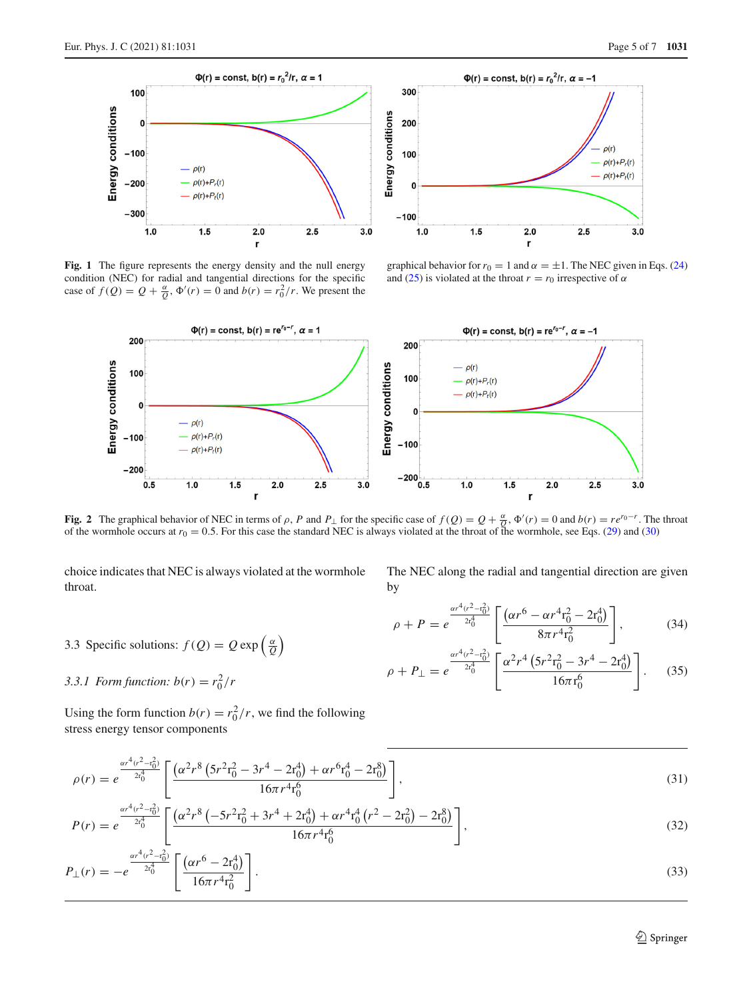



<span id="page-4-0"></span>**Fig. 1** The figure represents the energy density and the null energy condition (NEC) for radial and tangential directions for the specific case of  $f(Q) = Q + \frac{\alpha}{Q}$ ,  $\Phi'(r) = 0$  and  $b(r) = r_0^2/r$ . We present the

graphical behavior for  $r_0 = 1$  and  $\alpha = \pm 1$ . The NEC given in Eqs. [\(24\)](#page-3-0) and [\(25\)](#page-3-0) is violated at the throat  $r = r_0$  irrespective of  $\alpha$ 



<span id="page-4-1"></span>Fig. 2 The graphical behavior of NEC in terms of  $\rho$ , P and  $P_{\perp}$  for the specific case of  $f(Q) = Q + \frac{\alpha}{Q}$ ,  $\Phi'(r) = 0$  and  $b(r) = re^{r_0-r}$ . The throat of the wormhole occurs at  $r_0 = 0.5$ . For this case the standard NEC is always violated at the throat of the wormhole, see Eqs. [\(29\)](#page-3-1) and [\(30\)](#page-3-1)

choice indicates that NEC is always violated at the wormhole throat.

The NEC along the radial and tangential direction are given by

<span id="page-4-2"></span>
$$
\rho + P = e^{\frac{\alpha r^4 (r^2 - r_0^2)}{2r_0^4}} \left[ \frac{(\alpha r^6 - \alpha r^4 r_0^2 - 2r_0^4)}{8\pi r^4 r_0^2} \right],
$$
(34)

$$
\rho + P_{\perp} = e^{\frac{\alpha r^4 (r^2 - r_0^2)}{2r_0^4}} \left[ \frac{\alpha^2 r^4 \left(5r^2 r_0^2 - 3r^4 - 2r_0^4\right)}{16\pi r_0^6} \right]. \tag{35}
$$

*3.3.1 Form function:*  $b(r) = r_0^2/r$ Using the form function  $b(r) = r_0^2 / r$ , we find the following

3.3 Specific solutions:  $f(Q) = Q \exp\left(\frac{\alpha}{Q}\right)$ 

stress energy tensor components

$$
\rho(r) = e^{\frac{\alpha r^4 (r^2 - r_0^2)}{2r_0^4}} \left[ \frac{(\alpha^2 r^8 (5r^2 r_0^2 - 3r^4 - 2r_0^4) + \alpha r^6 r_0^4 - 2r_0^8)}{16\pi r^4 r_0^6} \right],
$$
\n(31)

$$
P(r) = e^{\frac{\alpha r^4 (r^2 - r_0^2)}{2r_0^4}} \left[ \frac{(\alpha^2 r^8 \left(-5r^2 r_0^2 + 3r^4 + 2r_0^4\right) + \alpha r^4 r_0^4 \left(r^2 - 2r_0^2\right) - 2r_0^8)}{16\pi r^4 r_0^6} \right],
$$
\n(32)

$$
P_{\perp}(r) = -e^{-\frac{\alpha r^4 (r^2 - r_0^2)}{2r_0^4}} \left[ \frac{(\alpha r^6 - 2r_0^4)}{16\pi r^4 r_0^2} \right].
$$
\n(33)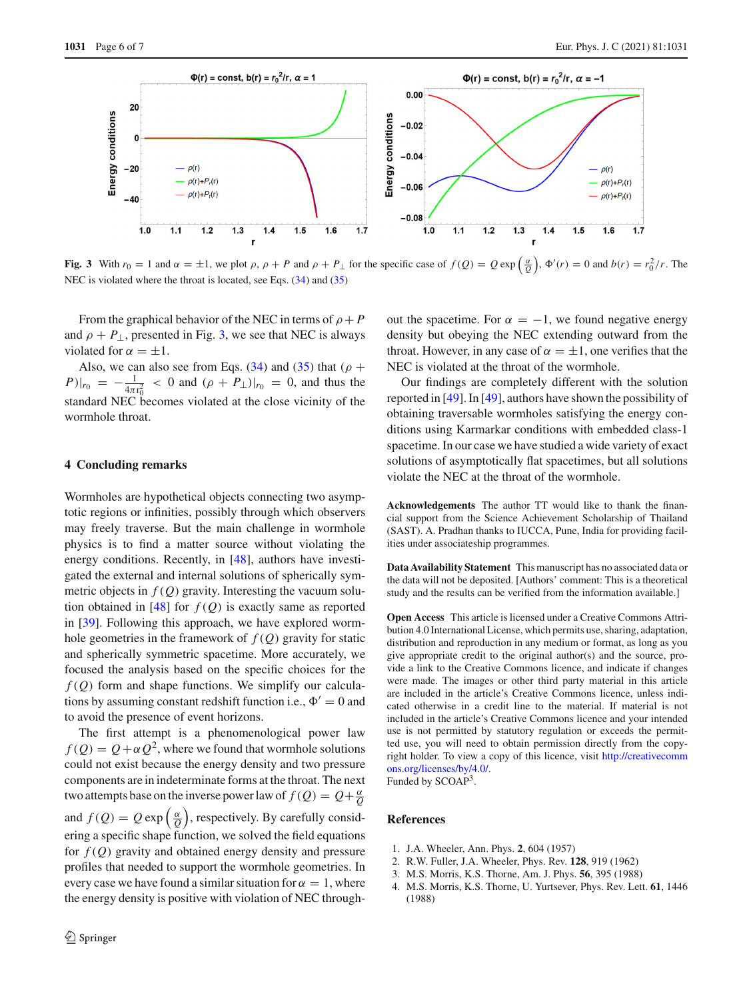

<span id="page-5-5"></span>**Fig. 3** With  $r_0 = 1$  and  $\alpha = \pm 1$ , we plot  $\rho$ ,  $\rho + P$  and  $\rho + P_{\perp}$  for the specific case of  $f(Q) = Q \exp\left(\frac{\alpha}{Q}\right)$ ,  $\Phi'(r) = 0$  and  $b(r) = r_0^2/r$ . The NEC is violated where the throat is located, see Eqs.  $(34)$  and  $(35)$ 

From the graphical behavior of the NEC in terms of  $\rho + P$ and  $\rho + P_{\perp}$ , presented in Fig. [3,](#page-5-5) we see that NEC is always violated for  $\alpha = \pm 1$ .

Also, we can also see from Eqs. [\(34\)](#page-4-2) and [\(35\)](#page-4-2) that ( $\rho$  +  $(P)|_{r_0} = -\frac{1}{4\pi r_0^2} < 0$  and  $(\rho + P_\perp)|_{r_0} = 0$ , and thus the standard NEC becomes violated at the close vicinity of the wormhole throat.

#### <span id="page-5-4"></span>**4 Concluding remarks**

Wormholes are hypothetical objects connecting two asymptotic regions or infinities, possibly through which observers may freely traverse. But the main challenge in wormhole physics is to find a matter source without violating the energy conditions. Recently, in [\[48](#page-6-31)], authors have investigated the external and internal solutions of spherically symmetric objects in  $f(Q)$  gravity. Interesting the vacuum solution obtained in  $[48]$  for  $f(Q)$  is exactly same as reported in [\[39](#page-6-28)]. Following this approach, we have explored wormhole geometries in the framework of  $f(Q)$  gravity for static and spherically symmetric spacetime. More accurately, we focused the analysis based on the specific choices for the *f* (*Q*) form and shape functions. We simplify our calculations by assuming constant redshift function i.e.,  $\Phi' = 0$  and to avoid the presence of event horizons.

The first attempt is a phenomenological power law  $f(Q) = Q + \alpha Q^2$ , where we found that wormhole solutions could not exist because the energy density and two pressure components are in indeterminate forms at the throat. The next two attempts base on the inverse power law of  $f(Q) = Q + \frac{\alpha}{Q}$ and  $f(Q) = Q \exp\left(\frac{\alpha}{Q}\right)$ , respectively. By carefully considering a specific shape function, we solved the field equations for *f* (*Q*) gravity and obtained energy density and pressure profiles that needed to support the wormhole geometries. In every case we have found a similar situation for  $\alpha = 1$ , where the energy density is positive with violation of NEC throughout the spacetime. For  $\alpha = -1$ , we found negative energy density but obeying the NEC extending outward from the throat. However, in any case of  $\alpha = \pm 1$ , one verifies that the NEC is violated at the throat of the wormhole.

Our findings are completely different with the solution reported in [\[49](#page-6-32)]. In [\[49\]](#page-6-32), authors have shown the possibility of obtaining traversable wormholes satisfying the energy conditions using Karmarkar conditions with embedded class-1 spacetime. In our case we have studied a wide variety of exact solutions of asymptotically flat spacetimes, but all solutions violate the NEC at the throat of the wormhole.

**Acknowledgements** The author TT would like to thank the financial support from the Science Achievement Scholarship of Thailand (SAST). A. Pradhan thanks to IUCCA, Pune, India for providing facilities under associateship programmes.

**Data Availability Statement** This manuscript has no associated data or the data will not be deposited. [Authors' comment: This is a theoretical study and the results can be verified from the information available.]

**Open Access** This article is licensed under a Creative Commons Attribution 4.0 International License, which permits use, sharing, adaptation, distribution and reproduction in any medium or format, as long as you give appropriate credit to the original author(s) and the source, provide a link to the Creative Commons licence, and indicate if changes were made. The images or other third party material in this article are included in the article's Creative Commons licence, unless indicated otherwise in a credit line to the material. If material is not included in the article's Creative Commons licence and your intended use is not permitted by statutory regulation or exceeds the permitted use, you will need to obtain permission directly from the copyright holder. To view a copy of this licence, visit [http://creativecomm](http://creativecommons.org/licenses/by/4.0/) [ons.org/licenses/by/4.0/.](http://creativecommons.org/licenses/by/4.0/) Funded by SCOAP<sup>3</sup>.

### **References**

- <span id="page-5-0"></span>1. J.A. Wheeler, Ann. Phys. **2**, 604 (1957)
- <span id="page-5-1"></span>2. R.W. Fuller, J.A. Wheeler, Phys. Rev. **128**, 919 (1962)
- <span id="page-5-2"></span>3. M.S. Morris, K.S. Thorne, Am. J. Phys. **56**, 395 (1988)
- <span id="page-5-3"></span>4. M.S. Morris, K.S. Thorne, U. Yurtsever, Phys. Rev. Lett. **61**, 1446 (1988)